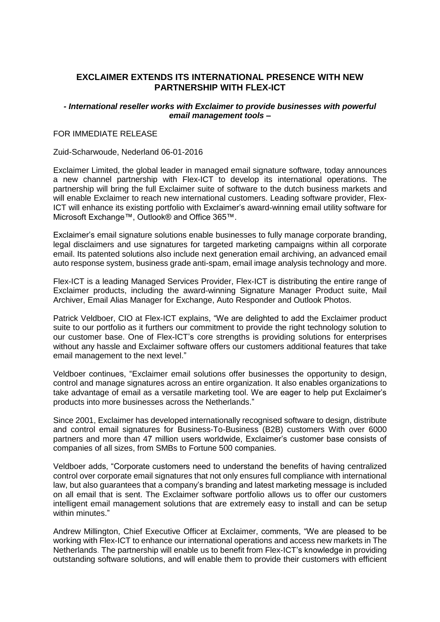# **EXCLAIMER EXTENDS ITS INTERNATIONAL PRESENCE WITH NEW PARTNERSHIP WITH FLEX-ICT**

### *- International reseller works with Exclaimer to provide businesses with powerful email management tools –*

### FOR IMMEDIATE RELEASE

#### Zuid-Scharwoude, Nederland 06-01-2016

Exclaimer Limited, the global leader in managed email signature software, today announces a new channel partnership with Flex-ICT to develop its international operations. The partnership will bring the full Exclaimer suite of software to the dutch business markets and will enable Exclaimer to reach new international customers. Leading software provider, Flex-ICT will enhance its existing portfolio with Exclaimer's award-winning email utility software for Microsoft Exchange™, Outlook® and Office 365™.

Exclaimer's email signature solutions enable businesses to fully manage corporate branding, legal disclaimers and use signatures for targeted marketing campaigns within all corporate email. Its patented solutions also include next generation email archiving, an advanced email auto response system, business grade anti-spam, email image analysis technology and more.

Flex-ICT is a leading Managed Services Provider, Flex-ICT is distributing the entire range of Exclaimer products, including the award-winning Signature Manager Product suite, Mail Archiver, Email Alias Manager for Exchange, Auto Responder and Outlook Photos.

Patrick Veldboer, CIO at Flex-ICT explains, "We are delighted to add the Exclaimer product suite to our portfolio as it furthers our commitment to provide the right technology solution to our customer base. One of Flex-ICT's core strengths is providing solutions for enterprises without any hassle and Exclaimer software offers our customers additional features that take email management to the next level."

Veldboer continues, "Exclaimer email solutions offer businesses the opportunity to design, control and manage signatures across an entire organization. It also enables organizations to take advantage of email as a versatile marketing tool. We are eager to help put Exclaimer's products into more businesses across the Netherlands."

Since 2001, Exclaimer has developed internationally recognised software to design, distribute and control email signatures for Business-To-Business (B2B) customers With over 6000 partners and more than 47 million users worldwide, Exclaimer's customer base consists of companies of all sizes, from SMBs to Fortune 500 companies.

Veldboer adds, "Corporate customers need to understand the benefits of having centralized control over corporate email signatures that not only ensures full compliance with international law, but also guarantees that a company's branding and latest marketing message is included on all email that is sent. The Exclaimer software portfolio allows us to offer our customers intelligent email management solutions that are extremely easy to install and can be setup within minutes."

Andrew Millington, Chief Executive Officer at Exclaimer, comments, "We are pleased to be working with Flex-ICT to enhance our international operations and access new markets in The Netherlands. The partnership will enable us to benefit from Flex-ICT's knowledge in providing outstanding software solutions, and will enable them to provide their customers with efficient